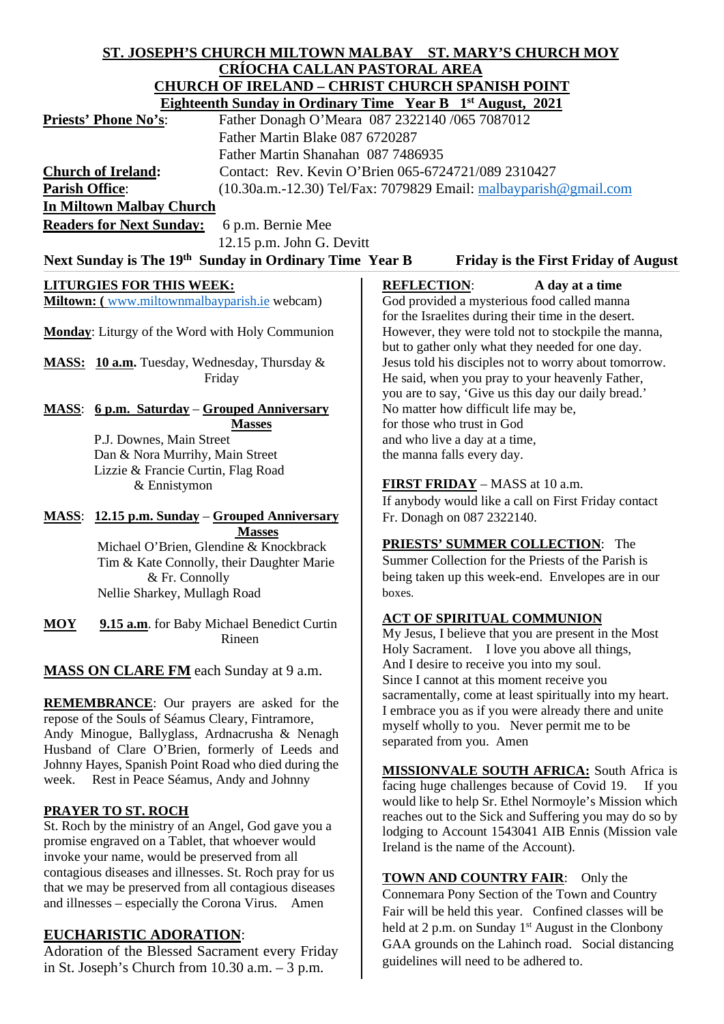# **ST. JOSEPH'S CHURCH MILTOWN MALBAY ST. MARY'S CHURCH MOY CRÍOCHA CALLAN PASTORAL AREA CHURCH OF IRELAND – CHRIST CHURCH SPANISH POINT**

| CHURCH OF IRELAND – CHRIST CHURCH SPANISH POINT                                                        |                                                |                                                                                             |                                                         |  |  |
|--------------------------------------------------------------------------------------------------------|------------------------------------------------|---------------------------------------------------------------------------------------------|---------------------------------------------------------|--|--|
| <b>Eighteenth Sunday in Ordinary Time Year B</b> 1 <sup>st</sup> August, 2021                          |                                                |                                                                                             |                                                         |  |  |
| Priests' Phone No's:                                                                                   | Father Donagh O'Meara 087 2322140 /065 7087012 |                                                                                             |                                                         |  |  |
| Father Martin Blake 087 6720287                                                                        |                                                |                                                                                             |                                                         |  |  |
| Father Martin Shanahan 087 7486935                                                                     |                                                |                                                                                             |                                                         |  |  |
| <b>Church of Ireland:</b>                                                                              |                                                | Contact: Rev. Kevin O'Brien 065-6724721/089 2310427                                         |                                                         |  |  |
| <b>Parish Office:</b>                                                                                  |                                                | $(10.30a.m.-12.30)$ Tel/Fax: 7079829 Email: $malbayparish@gmail.com$                        |                                                         |  |  |
| <b>In Miltown Malbay Church</b>                                                                        |                                                |                                                                                             |                                                         |  |  |
| <b>Readers for Next Sunday:</b>                                                                        | 6 p.m. Bernie Mee                              |                                                                                             |                                                         |  |  |
|                                                                                                        | 12.15 p.m. John G. Devitt                      |                                                                                             |                                                         |  |  |
| Next Sunday is The 19 <sup>th</sup> Sunday in Ordinary Time Year B                                     |                                                |                                                                                             |                                                         |  |  |
| <b>Friday is the First Friday of August</b>                                                            |                                                |                                                                                             |                                                         |  |  |
| <b>LITURGIES FOR THIS WEEK:</b>                                                                        |                                                | <b>REFLECTION:</b>                                                                          | A day at a time                                         |  |  |
| Miltown: (www.miltownmalbayparish.ie webcam)                                                           |                                                | God provided a mysterious food called manna                                                 |                                                         |  |  |
|                                                                                                        |                                                | for the Israelites during their time in the desert.                                         |                                                         |  |  |
| Monday: Liturgy of the Word with Holy Communion                                                        |                                                |                                                                                             | However, they were told not to stockpile the manna,     |  |  |
|                                                                                                        |                                                | but to gather only what they needed for one day.                                            |                                                         |  |  |
| MASS: 10 a.m. Tuesday, Wednesday, Thursday &                                                           |                                                | Jesus told his disciples not to worry about tomorrow.                                       |                                                         |  |  |
|                                                                                                        | Friday                                         |                                                                                             | He said, when you pray to your heavenly Father,         |  |  |
|                                                                                                        |                                                | you are to say, 'Give us this day our daily bread.'<br>No matter how difficult life may be, |                                                         |  |  |
| <b>MASS:</b> 6 p.m. Saturday – Grouped Anniversary                                                     |                                                | for those who trust in God                                                                  |                                                         |  |  |
| <b>Masses</b><br>P.J. Downes, Main Street                                                              |                                                | and who live a day at a time,                                                               |                                                         |  |  |
| Dan & Nora Murrihy, Main Street                                                                        |                                                | the manna falls every day.                                                                  |                                                         |  |  |
| Lizzie & Francie Curtin, Flag Road                                                                     |                                                |                                                                                             |                                                         |  |  |
| & Ennistymon                                                                                           |                                                |                                                                                             | FIRST FRIDAY - MASS at 10 a.m.                          |  |  |
|                                                                                                        |                                                |                                                                                             | If anybody would like a call on First Friday contact    |  |  |
| <b>MASS:</b> 12.15 p.m. Sunday – Grouped Anniversary                                                   |                                                | Fr. Donagh on 087 2322140.                                                                  |                                                         |  |  |
| <b>Masses</b>                                                                                          |                                                |                                                                                             |                                                         |  |  |
| Michael O'Brien, Glendine & Knockbrack                                                                 |                                                | <b>PRIESTS' SUMMER COLLECTION:</b> The                                                      |                                                         |  |  |
|                                                                                                        | Tim & Kate Connolly, their Daughter Marie      |                                                                                             | Summer Collection for the Priests of the Parish is      |  |  |
| & Fr. Connolly                                                                                         |                                                |                                                                                             | being taken up this week-end. Envelopes are in our      |  |  |
| Nellie Sharkey, Mullagh Road                                                                           |                                                | boxes.                                                                                      |                                                         |  |  |
|                                                                                                        |                                                |                                                                                             | <b>ACT OF SPIRITUAL COMMUNION</b>                       |  |  |
| <b>MOY</b>                                                                                             | 9.15 a.m. for Baby Michael Benedict Curtin     |                                                                                             | My Jesus, I believe that you are present in the Most    |  |  |
|                                                                                                        | Rineen                                         |                                                                                             | Holy Sacrament. I love you above all things,            |  |  |
|                                                                                                        |                                                |                                                                                             | And I desire to receive you into my soul.               |  |  |
| <b>MASS ON CLARE FM</b> each Sunday at 9 a.m.                                                          |                                                |                                                                                             | Since I cannot at this moment receive you               |  |  |
|                                                                                                        |                                                |                                                                                             | sacramentally, come at least spiritually into my heart. |  |  |
| <b>REMEMBRANCE:</b> Our prayers are asked for the<br>repose of the Souls of Séamus Cleary, Fintramore, |                                                |                                                                                             | I embrace you as if you were already there and unite    |  |  |
| Andy Minogue, Ballyglass, Ardnacrusha & Nenagh                                                         |                                                |                                                                                             | myself wholly to you. Never permit me to be             |  |  |
| Husband of Clare O'Brien, formerly of Leeds and                                                        |                                                |                                                                                             | separated from you. Amen                                |  |  |
| Johnny Hayes, Spanish Point Road who died during the                                                   |                                                |                                                                                             |                                                         |  |  |
| week. Rest in Peace Séamus, Andy and Johnny                                                            |                                                |                                                                                             | <b>MISSIONVALE SOUTH AFRICA:</b> South Africa is        |  |  |

# **PRAYER TO ST. ROCH**

St. Roch by the ministry of an Angel, God gave you a promise engraved on a Tablet, that whoever would invoke your name, would be preserved from all contagious diseases and illnesses. St. Roch pray for us that we may be preserved from all contagious diseases and illnesses – especially the Corona Virus. Amen

# **EUCHARISTIC ADORATION**:

Adoration of the Blessed Sacrament every Friday in St. Joseph's Church from 10.30 a.m. – 3 p.m.

facing huge challenges because of Covid 19. If you would like to help Sr. Ethel Normoyle's Mission which reaches out to the Sick and Suffering you may do so by lodging to Account 1543041 AIB Ennis (Mission vale Ireland is the name of the Account).

**TOWN AND COUNTRY FAIR**: Only the Connemara Pony Section of the Town and Country Fair will be held this year. Confined classes will be held at 2 p.m. on Sunday  $1<sup>st</sup>$  August in the Clonbony GAA grounds on the Lahinch road. Social distancing guidelines will need to be adhered to.